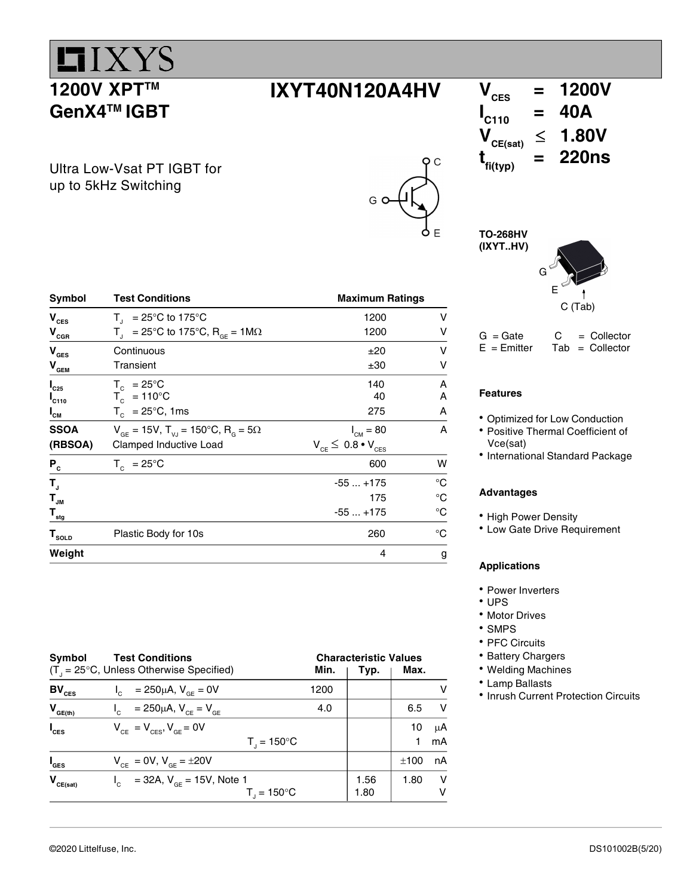

G

Ultra Low-Vsat PT IGBT for up to 5kHz Switching

| Symbol                        | <b>Test Conditions</b>                                                             | <b>Maximum Ratings</b>          |    |  |
|-------------------------------|------------------------------------------------------------------------------------|---------------------------------|----|--|
| $V_{\text{CES}}$              | $T_{\parallel}$ = 25°C to 175°C                                                    | 1200                            | v  |  |
| $V_{\rm cGR}$                 | $T_{\text{J}}$ = 25°C to 175°C, R <sub>or</sub> = 1M $\Omega$                      | 1200                            | v  |  |
| $\mathbf{V}_{\texttt{GES}}$   | Continuous                                                                         | ±20                             | ν  |  |
| $V_{\text{\tiny{GEM}}}$       | Transient                                                                          | ±30                             | v  |  |
| $I_{C25}$                     | $T_c = 25^{\circ}C$                                                                | 140                             | A  |  |
| $I_{C110}$                    | $T_c = 110^{\circ}C$                                                               | 40                              | A  |  |
| $I_{CM}$                      | $T_c$ = 25°C, 1ms                                                                  | 275                             | A  |  |
| <b>SSOA</b>                   | $V_{\text{GF}} = 15V$ , $T_{\text{V,I}} = 150^{\circ}C$ , $R_{\text{G}} = 5\Omega$ | $I_{CM} = 80$                   | A  |  |
| (RBSOA)                       | Clamped Inductive Load                                                             | $V_{CE} \leq 0.8 \cdot V_{CES}$ |    |  |
| $P_{c}$                       | $T_c = 25^{\circ}$ C                                                               | 600                             | W  |  |
| $\mathbf{T}_{\text{a}}$       |                                                                                    | $-55+175$                       | °C |  |
| $\mathbf{T}_{_{\mathsf{JM}}}$ |                                                                                    | 175                             | °C |  |
| $\mathbf{T}_{\texttt{sig}}$   |                                                                                    | $-55+175$                       | °C |  |
| $\mathbf{T}_{\texttt{SOLD}}$  | Plastic Body for 10s                                                               | 260                             | °C |  |
| Weight                        |                                                                                    | 4                               | g  |  |

| Symbol             | <b>Test Conditions</b>                                      | <b>Characteristic Values</b> |      |      |    |
|--------------------|-------------------------------------------------------------|------------------------------|------|------|----|
|                    | $(T_{\text{I}} = 25^{\circ}C$ , Unless Otherwise Specified) | Min.                         |      | Max. |    |
| $BV_{CES}$         | $I_c = 250 \mu A$ , $V_{cF} = 0V$                           | 1200                         |      |      |    |
| $V_{GE(th)}$       | $V_{\text{c}} = 250 \mu A, V_{\text{c}} = V_{\text{c}}$     | 4.0                          |      | 6.5  | V  |
| $I_{\text{CES}}$   | $V_{CF} = V_{CFS}$ , $V_{GF} = 0V$                          |                              |      | 10   | μA |
|                    | $T_{1} = 150^{\circ}C$                                      |                              |      | 1    | mA |
| $I_{\texttt{GES}}$ | $V_{CF} = 0V$ , $V_{GF} = \pm 20V$                          |                              |      | ±100 | nA |
| $V_{CE(sat)}$      | $I_c$ = 32A, $V_{cF}$ = 15V, Note 1                         |                              | 1.56 | 1.80 | v  |
|                    | $T_{\parallel}$ = 150°C                                     |                              | 1.80 |      | v  |

 $IXYT40N120A4HV$   $V_{CES} = 1200V$ <br> $V_{CES} = 40A$  $\int_{\text{C}^{\text{I}}(10)}$  $\leq$  1.80V  $t_{fi(typ)}$  $= 220$ ns

> TO-268HV (IXYT..HV)

 $\overline{\mathsf{o}}$   $\overline{\mathsf{c}}$ 



 $G = Gate$   $C = Collector$ <br>  $E = Emitter$  Tab = Collector  $Tab = Collector$ 

## Features

- Optimized for Low Conduction
- Positive Thermal Coefficient of Vce(sat)
- International Standard Package

#### Advantages

- High Power Density
- Low Gate Drive Requirement

## Applications

- Power Inverters
- $\cdot$  UPS
- Motor Drives
- SMPS
- PFC Circuits
- Battery Chargers
- Welding Machines
- Lamp Ballasts
- Inrush Current Protection Circuits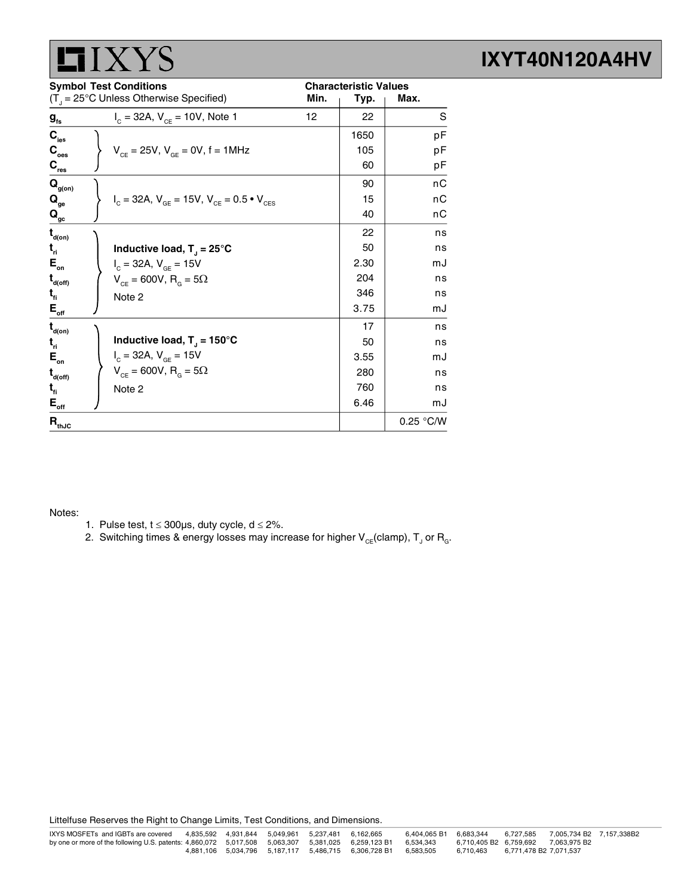

| <b>Symbol Test Conditions</b>           |                                                                   | <b>Characteristic Values</b> |      |           |
|-----------------------------------------|-------------------------------------------------------------------|------------------------------|------|-----------|
|                                         | $(T_{\text{d}} = 25^{\circ} \text{C}$ Unless Otherwise Specified) | Min.                         | Typ. | Max.      |
| $g_{\rm fs}$                            | $I_c = 32A$ , $V_{cF} = 10V$ , Note 1                             | 12                           | 22   | S         |
| $C_{\rm ies}$                           |                                                                   |                              | 1650 | pF        |
| $\mathbf{C}_\mathrm{oes}$               | $V_{CF} = 25V$ , $V_{GF} = 0V$ , f = 1MHz                         |                              | 105  | рF        |
| $\mathbf{C}_{\text{res}}$               |                                                                   |                              | 60   | рF        |
| $\mathbf{Q}_{\text{g(on)}}$             |                                                                   |                              | 90   | nС        |
| $\mathbf{Q}_{_{\mathbf{ge}}}$           | $I_c = 32A$ , $V_{GE} = 15V$ , $V_{CE} = 0.5 \cdot V_{CES}$       |                              | 15   | nС        |
| $\mathbf{Q}_{\underline{\mathrm{gc}}}$  |                                                                   |                              | 40   | nС        |
| $\mathbf{t}_{\mathsf{d}(on)}$           |                                                                   |                              | 22   | ns        |
| $t_{\rm n}$                             | Inductive load, $T_1 = 25^{\circ}C$                               |                              | 50   | ns        |
| $E_{\rm on}$                            | $I_c = 32A, V_{GF} = 15V$                                         |                              | 2.30 | mJ        |
| $\mathbf{t}_{\text{\tiny{d(off)}}}$     | $V_{CF}$ = 600V, R <sub>G</sub> = 5 $\Omega$                      |                              | 204  | ns        |
| $t_{\rm fl}$                            | Note 2                                                            |                              | 346  | ns        |
| $E_{_{\rm off}}$                        |                                                                   |                              | 3.75 | mJ        |
| $\mathbf{t}_{\mathsf{d}(\mathsf{on})}$  |                                                                   |                              | 17   | ns        |
| $t_{\rm n}$                             | Inductive load, $T_1 = 150^{\circ}$ C                             |                              | 50   | ns        |
| $E_{\rm on}$                            | $I_c = 32A, V_{GE} = 15V$                                         |                              | 3.55 | mJ        |
| $\mathbf{t}_{\mathsf{d}(\mathsf{off})}$ | $V_{CF} = 600V, R_{G} = 5\Omega$                                  |                              | 280  | ns        |
| $t_{\rm fl}$                            | Note 2                                                            |                              | 760  | ns        |
| $E_{\text{off}}$                        |                                                                   |                              | 6.46 | mJ        |
| $\mathbf{R}_{\text{thJC}}$              |                                                                   |                              |      | 0.25 °C/W |

#### Notes:

- 1. Pulse test,  $t \le 300 \mu s$ , duty cycle,  $d \le 2\%$ .
- 2. Switching times & energy losses may increase for higher  $\mathsf{V}_{\varepsilon \varepsilon}$ (clamp),  $\mathsf{T}_{\text{J}}$  or  $\mathsf{R}_{\text{g}}$ .

Littelfuse Reserves the Right to Change Limits, Test Conditions, and Dimensions.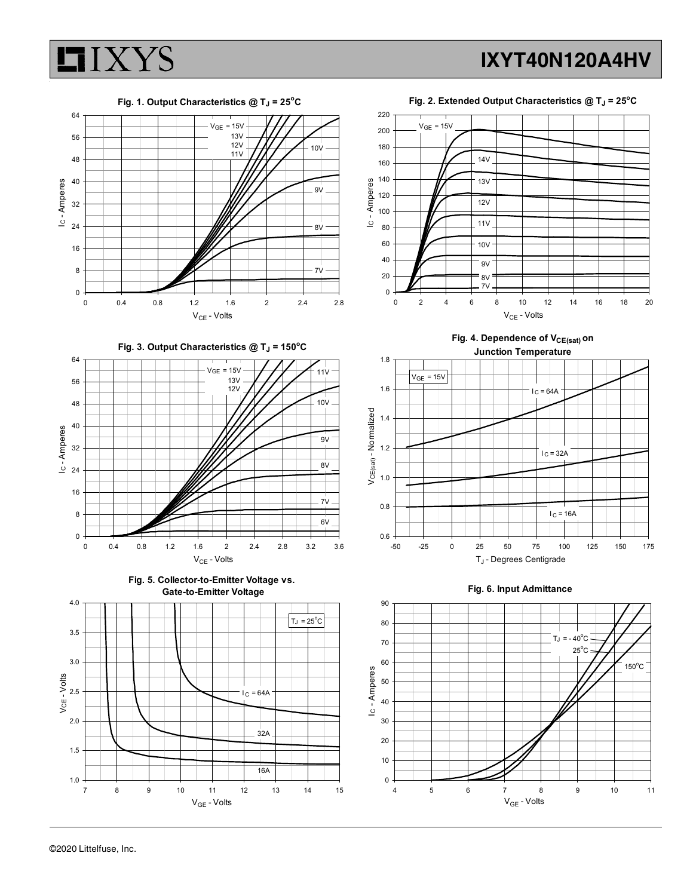

Fig. 3. Output Characteristics  $@T_J = 150°C$ 









Fig. 4. Dependence of  $V_{CE(sat)}$  on Junction Temperature



#### Fig. 6. Input Admittance

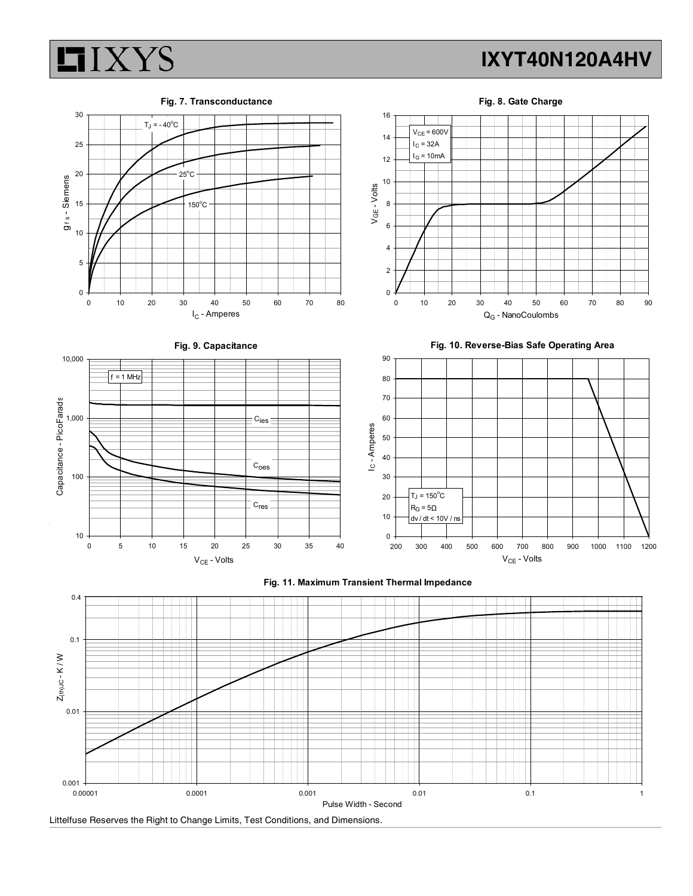



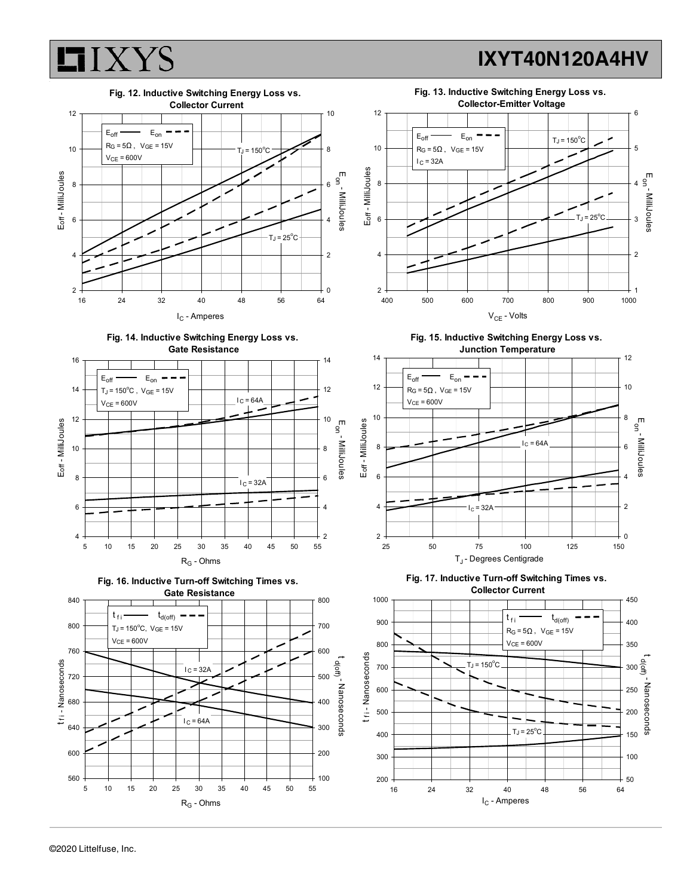











Fig. 15. Inductive Switching Energy Loss vs.





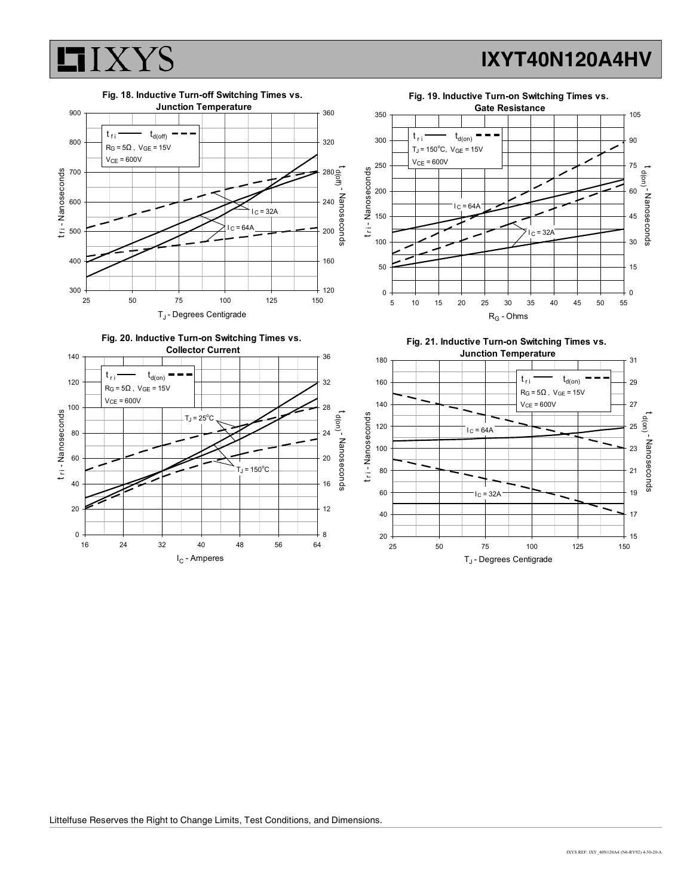



#### Littelfuse Reserves the Right to Change Limits, Test Conditions, and Dimensions.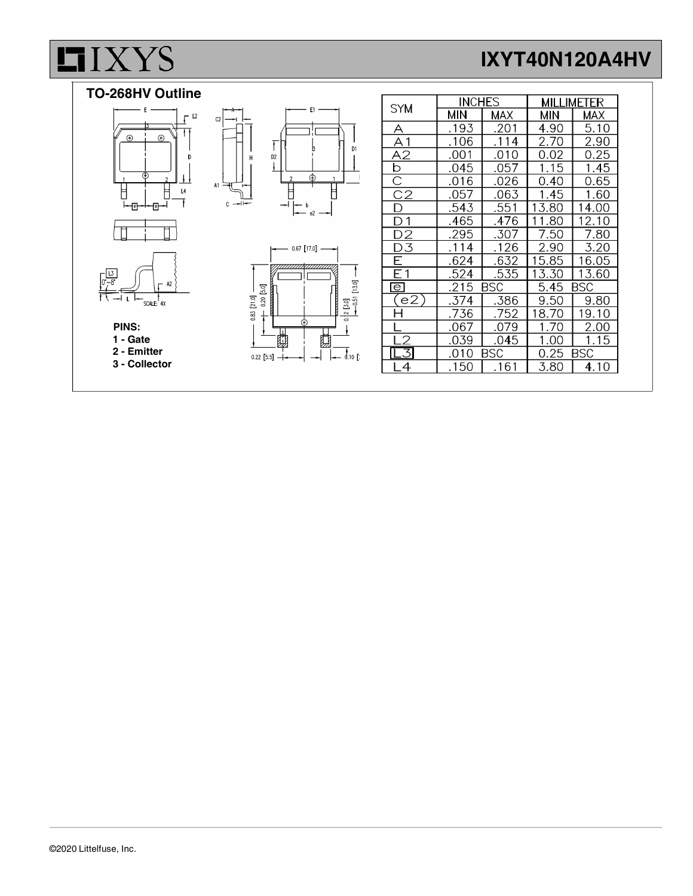# $LI$ *XYS*

# IXYT40N120A4HV